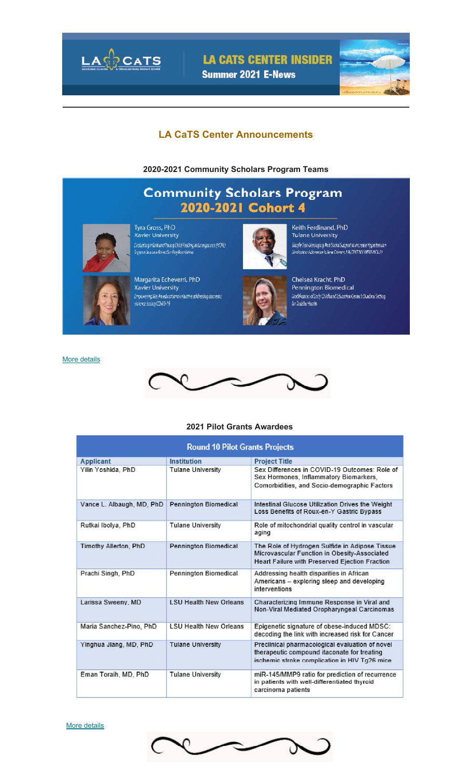

**LA CATS CENTER INSIDER** 

Summer 2021 E-News



### **LA CaTS Center Announcements**

**2020-2021 Community Scholars Program Teams**

# **Community Scholars Program** 2020-2021 Cohort 4



Tyra Gross, PhD **Xavier University** .<br>Evaluating infant and Young Child Feeding in Emergements (NCTE)<br>Support in a Low Breakferding Population



Margarita Echeverri, PhD **Xavier University**  $\label{prop:main} \begin{array}{ll} \mbox{Exponents} \\ \mbox{Conversely} \\ \mbox{where during CMB-19} \end{array}$ 



Keith Ferdinand, PhD **Tulane University** .<br>Simple Tean-Viessaging And Social Support to increase Hypertension<br>Medication Adherence in New Orleans, LATTERT NY MEDS NOLA

Chelsea Kracht, PhD Pennington Biomedical Modificance of Early Childhood Education Center's Outdoor Setting for Toddler Health

More details



#### **2021 Pilot Grants Awardees**

| <b>Round 10 Pilot Grants Projects</b> |                               |                                                                                                                                                         |  |  |  |  |  |
|---------------------------------------|-------------------------------|---------------------------------------------------------------------------------------------------------------------------------------------------------|--|--|--|--|--|
| <b>Applicant</b>                      | Institution                   | <b>Project Title</b>                                                                                                                                    |  |  |  |  |  |
| Yilin Yoshida, PhD                    | <b>Tulane University</b>      | Sex Differences in COVID-19 Outcomes: Role of<br>Sex Hormones, Inflammatory Biomarkers,<br>Comorbidities, and Socio-demographic Factors                 |  |  |  |  |  |
| Vance L. Albaugh, MD, PhD             | <b>Pennington Biomedical</b>  | Intestinal Glucose Utilization Drives the Weight<br>Loss Benefits of Roux-en-Y Gastric Bypass                                                           |  |  |  |  |  |
| Rutkai Ibolya, PhD                    | <b>Tulane University</b>      | Role of mitochondrial quality control in vascular<br>aging                                                                                              |  |  |  |  |  |
| Timothy Allerton, PhD                 | <b>Pennington Biomedical</b>  | The Role of Hydrogen Sulfide in Adipose Tissue<br>Microvascular Function in Obesity-Associated<br><b>Heart Failure with Preserved Ejection Fraction</b> |  |  |  |  |  |
| Prachi Singh, PhD                     | Pennington Biomedical         | Addressing health disparities in African<br>Americans - exploring sleep and developing<br>interventions                                                 |  |  |  |  |  |
| Larissa Sweeny, MD                    | <b>LSU Health New Orleans</b> | Characterizing Immune Response in Viral and<br>Non-Viral Mediated Oropharyngeal Carcinomas                                                              |  |  |  |  |  |
| Maria Sanchez-Pino, PhD               | <b>LSU Health New Orleans</b> | Epigenetic signature of obese-induced MDSC:<br>decoding the link with increased risk for Cancer                                                         |  |  |  |  |  |
| Yinghua Jiang, MD, PhD                | <b>Tulane University</b>      | Preclinical pharmacological evaluation of novel<br>therapeutic compound itaconate for treating<br>ischemic stroke complication in HIV Tg26 mice         |  |  |  |  |  |
| Eman Toraih, MD, PhD                  | <b>Tulane University</b>      | miR-145/MMP9 ratio for prediction of recurrence<br>in patients with well-differentiated thyroid<br>carcinoma patients                                   |  |  |  |  |  |

More details

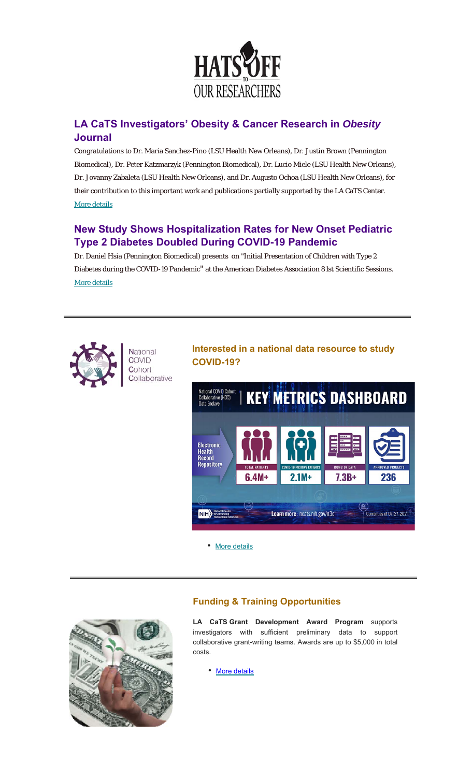

# **LA CaTS Investigators' Obesity & Cancer Research in** *Obesity* **Journal**

Congratulations to Dr. Maria Sanchez-Pino (LSU Health New Orleans), Dr. Justin Brown (Pennington Biomedical), Dr. Peter Katzmarzyk (Pennington Biomedical), Dr. Lucio Miele (LSU Health New Orleans), Dr. Jovanny Zabaleta (LSU Health New Orleans), and Dr. Augusto Ochoa (LSU Health New Orleans), for their contribution to this important work and publications partially supported by the LA CaTS Center. More details

# **New Study Shows Hospitalization Rates for New Onset Pediatric Type 2 Diabetes Doubled During COVID-19 Pandemic**

Dr. Daniel Hsia (Pennington Biomedical) presents on "Initial Presentation of Children with Type 2 Diabetes during the COVID-19 Pandemic" at the American Diabetes Association 81st Scientific Sessions. More details



National **COVID** Cohort Collaborative

## **Interested in a national data resource to study COVID-19?**



• More details



# **Funding & Training Opportunities**

**LA CaTS Grant Development Award Program** supports investigators with sufficient preliminary data to support collaborative grant-writing teams. Awards are up to \$5,000 in total costs.

• More details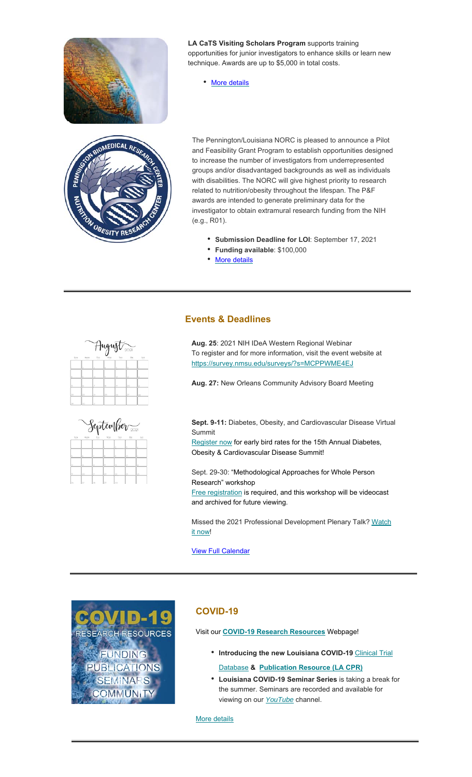



**LA CaTS Visiting Scholars Program** supports training opportunities for junior investigators to enhance skills or learn new technique. Awards are up to \$5,000 in total costs.

• More details

The Pennington/Louisiana NORC is pleased to announce a Pilot and Feasibility Grant Program to establish opportunities designed to increase the number of investigators from underrepresented groups and/or disadvantaged backgrounds as well as individuals with disabilities. The NORC will give highest priority to research related to nutrition/obesity throughout the lifespan. The P&F awards are intended to generate preliminary data for the investigator to obtain extramural research funding from the NIH (e.g., R01).

- **Submission Deadline for LOI**: September 17, 2021
- **Funding available**: \$100,000
- More details

### **Events & Deadlines**

| August <sub>2021</sub> |                  |               |     |           |               |            |  |  |
|------------------------|------------------|---------------|-----|-----------|---------------|------------|--|--|
| SUN<br>≕               | Michij<br>$\sim$ | TUE<br>$\sim$ | WED | THU<br>-- | Fax<br>$\sim$ | 5.41<br>-- |  |  |
|                        | ь                | Š.            | ı   | ĸ         | is.           | ٠          |  |  |
|                        | 6                | O             | T   | Ð         | ь             | м          |  |  |
| ь                      | 'n               | b             | ×   | ÌЮ        | <b>bo</b>     | 63         |  |  |
| bo.                    | ho.              | bi.           | b.  | $\sim$    | bo            | bs.        |  |  |
| $\sim$                 | <b>SOV</b>       | w             |     |           |               |            |  |  |



**Aug. 25**: 2021 NIH IDeA Western Regional Webinar To register and for more information, visit the event website at https://survey.nmsu.edu/surveys/?s=MCPPWME4EJ

**Aug. 27:** New Orleans Community Advisory Board Meeting

**Sept. 9-11:** Diabetes, Obesity, and Cardiovascular Disease Virtual Summit

Register now for early bird rates for the 15th Annual Diabetes, Obesity & Cardiovascular Disease Summit!

Sept. 29-30: "Methodological Approaches for Whole Person Research" workshop

Free registration is required, and this workshop will be videocast and archived for future viewing.

Missed the 2021 Professional Development Plenary Talk? Watch it now!

View Full Calendar

**ID-1 ESEARCH RESOURCES FUNDING PUBLICATIONS SEMINARS COMMUNITY** 

#### **COVID-19**

Visit our **COVID-19 Research Resources** Webpage!

- Introducing the new Louisiana COVID-19 Clinical Trial Database **& Publication Resource (LA CPR)**
- **Louisiana COVID-19 Seminar Series** is taking a break for the summer. Seminars are recorded and available for viewing on our *YouTube* channel.

More details